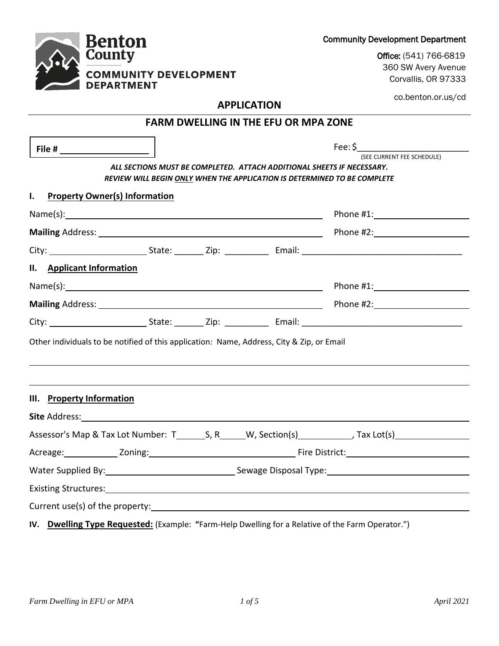|                                                                                                   |  | <b>APPLICATION</b>                                                                                                                                        |                                       |
|---------------------------------------------------------------------------------------------------|--|-----------------------------------------------------------------------------------------------------------------------------------------------------------|---------------------------------------|
|                                                                                                   |  | <b>FARM DWELLING IN THE EFU OR MPA ZONE</b>                                                                                                               |                                       |
|                                                                                                   |  | ALL SECTIONS MUST BE COMPLETED. ATTACH ADDITIONAL SHEETS IF NECESSARY.<br><b>REVIEW WILL BEGIN ONLY WHEN THE APPLICATION IS DETERMINED TO BE COMPLETE</b> | Fee: \$<br>(SEE CURRENT FEE SCHEDULE) |
| <b>Property Owner(s) Information</b><br>Ι.                                                        |  |                                                                                                                                                           |                                       |
|                                                                                                   |  |                                                                                                                                                           |                                       |
|                                                                                                   |  |                                                                                                                                                           |                                       |
|                                                                                                   |  |                                                                                                                                                           |                                       |
| II. Applicant Information                                                                         |  |                                                                                                                                                           |                                       |
|                                                                                                   |  |                                                                                                                                                           |                                       |
|                                                                                                   |  |                                                                                                                                                           |                                       |
|                                                                                                   |  |                                                                                                                                                           |                                       |
| Other individuals to be notified of this application: Name, Address, City & Zip, or Email         |  |                                                                                                                                                           |                                       |
| III. Property Information                                                                         |  |                                                                                                                                                           |                                       |
|                                                                                                   |  |                                                                                                                                                           |                                       |
|                                                                                                   |  |                                                                                                                                                           |                                       |
|                                                                                                   |  |                                                                                                                                                           |                                       |
| Water Supplied By: 1992 Communication of Sewage Disposal Type: 1994                               |  |                                                                                                                                                           |                                       |
| Existing Structures:                                                                              |  |                                                                                                                                                           |                                       |
|                                                                                                   |  |                                                                                                                                                           |                                       |
| IV. Dwelling Type Requested: (Example: "Farm-Help Dwelling for a Relative of the Farm Operator.") |  |                                                                                                                                                           |                                       |

**Benton**<br>County

**COMMUNITY DEVELOPMENT<br>DEPARTMENT** 

Community Development Department

Office: (541) 766-6819 360 SW Avery Avenue Corvallis, OR 97333

co.benton.or.us/cd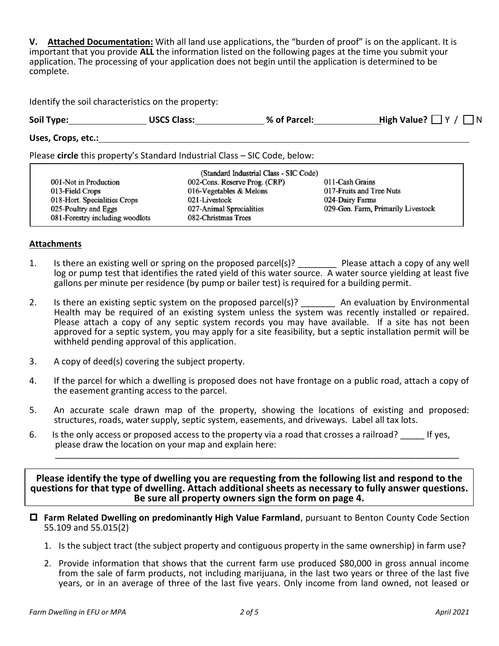**V. Attached Documentation:** With all land use applications, the "burden of proof" is on the applicant. It is important that you provide **ALL** the information listed on the following pages at the time you submit your application. The processing of your application does not begin until the application is determined to be complete.

Identify the soil characteristics on the property:

| Soil Type:         | <b>USCS Class:</b> | % of Parcel: | High Value? $\Box$ Y / $\Box$ N |
|--------------------|--------------------|--------------|---------------------------------|
| Uses, Crops, etc.: |                    |              |                                 |

Please **circle** this property's Standard Industrial Class – SIC Code, below:

|                                 | (Standard Industrial Class - SIC Code) |                                    |
|---------------------------------|----------------------------------------|------------------------------------|
| 001-Not in Production           | 002-Cons. Reserve Prog. (CRP)          | 011-Cash Grains                    |
| 013-Field Crops                 | 016-Vegetables & Melons                | 017-Fruits and Tree Nuts           |
| 018-Hort. Specialities Crops    | 021-Livestock                          | 024-Dairy Farms                    |
| 025-Poultry and Eggs            | 027-Animal Sprecialities               | 029-Gen. Farm, Primarily Livestock |
| 081-Forestry including woodlots | 082-Christmas Trees                    |                                    |

## **Attachments**

- 1. Is there an existing well or spring on the proposed parcel(s)? Please attach a copy of any well log or pump test that identifies the rated yield of this water source. A water source yielding at least five gallons per minute per residence (by pump or bailer test) is required for a building permit.
- 2. Is there an existing septic system on the proposed parcel(s)? An evaluation by Environmental Health may be required of an existing system unless the system was recently installed or repaired. Please attach a copy of any septic system records you may have available. If a site has not been approved for a septic system, you may apply for a site feasibility, but a septic installation permit will be withheld pending approval of this application.
- 3. A copy of deed(s) covering the subject property.
- 4. If the parcel for which a dwelling is proposed does not have frontage on a public road, attach a copy of the easement granting access to the parcel.
- 5. An accurate scale drawn map of the property, showing the locations of existing and proposed: structures, roads, water supply, septic system, easements, and driveways. Label all tax lots.
- 6. Is the only access or proposed access to the property via a road that crosses a railroad? \_\_\_\_\_ If yes, please draw the location on your map and explain here:

**Please identify the type of dwelling you are requesting from the following list and respond to the questions for that type of dwelling. Attach additional sheets as necessary to fully answer questions. Be sure all property owners sign the form on page 4.**

\_\_\_\_\_\_\_\_\_\_\_\_\_\_\_\_\_\_\_\_\_\_\_\_\_\_\_\_\_\_\_\_\_\_\_\_\_\_\_\_\_\_\_\_\_\_\_\_\_\_\_\_\_\_\_\_\_\_\_\_\_\_\_\_\_\_\_\_\_\_\_\_\_\_\_\_\_\_\_\_\_\_\_

- **Farm Related Dwelling on predominantly High Value Farmland**, pursuant to Benton County Code Section 55.109 and 55.015(2)
	- 1. Is the subject tract (the subject property and contiguous property in the same ownership) in farm use?
	- 2. Provide information that shows that the current farm use produced \$80,000 in gross annual income from the sale of farm products, not including marijuana, in the last two years or three of the last five years, or in an average of three of the last five years. Only income from land owned, not leased or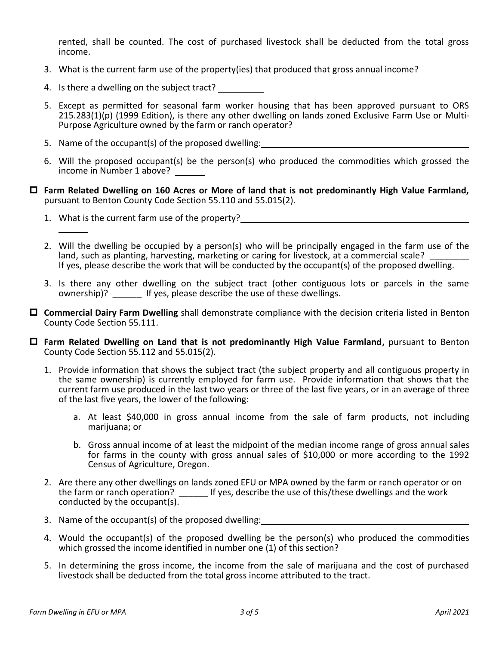rented, shall be counted. The cost of purchased livestock shall be deducted from the total gross income.

- 3. What is the current farm use of the property(ies) that produced that gross annual income?
- 4. Is there a dwelling on the subject tract?
- 5. Except as permitted for seasonal farm worker housing that has been approved pursuant to ORS 215.283(1)(p) (1999 Edition), is there any other dwelling on lands zoned Exclusive Farm Use or Multi-Purpose Agriculture owned by the farm or ranch operator?
- 5. Name of the occupant(s) of the proposed dwelling:
- 6. Will the proposed occupant(s) be the person(s) who produced the commodities which grossed the income in Number 1 above?
- **Farm Related Dwelling on 160 Acres or More of land that is not predominantly High Value Farmland,**  pursuant to Benton County Code Section 55.110 and 55.015(2).
	- 1. What is the current farm use of the property?
	- 2. Will the dwelling be occupied by a person(s) who will be principally engaged in the farm use of the land, such as planting, harvesting, marketing or caring for livestock, at a commercial scale? If yes, please describe the work that will be conducted by the occupant(s) of the proposed dwelling.
	- 3. Is there any other dwelling on the subject tract (other contiguous lots or parcels in the same ownership)? If yes, please describe the use of these dwellings.
- **Commercial Dairy Farm Dwelling** shall demonstrate compliance with the decision criteria listed in Benton County Code Section 55.111.
- **Farm Related Dwelling on Land that is not predominantly High Value Farmland,** pursuant to Benton County Code Section 55.112 and 55.015(2).
	- 1. Provide information that shows the subject tract (the subject property and all contiguous property in the same ownership) is currently employed for farm use. Provide information that shows that the current farm use produced in the last two years or three of the last five years, or in an average of three of the last five years, the lower of the following:
		- a. At least \$40,000 in gross annual income from the sale of farm products, not including marijuana; or
		- b. Gross annual income of at least the midpoint of the median income range of gross annual sales for farms in the county with gross annual sales of \$10,000 or more according to the 1992 Census of Agriculture, Oregon.
	- 2. Are there any other dwellings on lands zoned EFU or MPA owned by the farm or ranch operator or on the farm or ranch operation? \_\_\_\_\_\_ If yes, describe the use of this/these dwellings and the work conducted by the occupant(s).
	- 3. Name of the occupant(s) of the proposed dwelling:
	- 4. Would the occupant(s) of the proposed dwelling be the person(s) who produced the commodities which grossed the income identified in number one (1) of this section?
	- 5. In determining the gross income, the income from the sale of marijuana and the cost of purchased livestock shall be deducted from the total gross income attributed to the tract.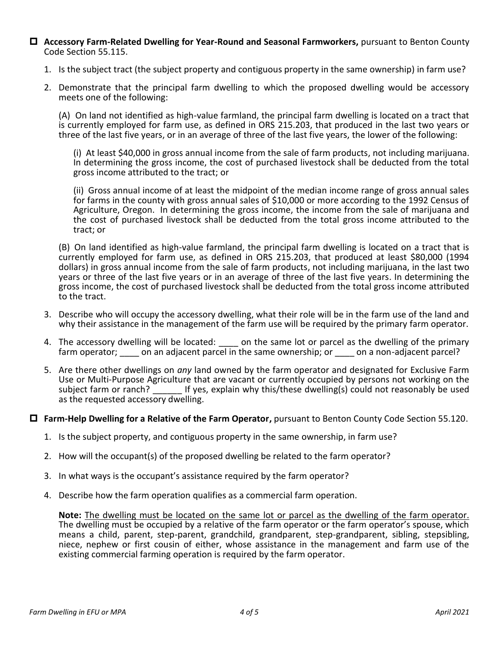- **Accessory Farm-Related Dwelling for Year-Round and Seasonal Farmworkers,** pursuant to Benton County Code Section 55.115.
	- 1. Is the subject tract (the subject property and contiguous property in the same ownership) in farm use?
	- 2. Demonstrate that the principal farm dwelling to which the proposed dwelling would be accessory meets one of the following:

(A) On land not identified as high-value farmland, the principal farm dwelling is located on a tract that is currently employed for farm use, as defined in ORS 215.203, that produced in the last two years or three of the last five years, or in an average of three of the last five years, the lower of the following:

(i) At least \$40,000 in gross annual income from the sale of farm products, not including marijuana. In determining the gross income, the cost of purchased livestock shall be deducted from the total gross income attributed to the tract; or

(ii) Gross annual income of at least the midpoint of the median income range of gross annual sales for farms in the county with gross annual sales of \$10,000 or more according to the 1992 Census of Agriculture, Oregon. In determining the gross income, the income from the sale of marijuana and the cost of purchased livestock shall be deducted from the total gross income attributed to the tract; or

(B) On land identified as high-value farmland, the principal farm dwelling is located on a tract that is currently employed for farm use, as defined in ORS 215.203, that produced at least \$80,000 (1994 dollars) in gross annual income from the sale of farm products, not including marijuana, in the last two years or three of the last five years or in an average of three of the last five years. In determining the gross income, the cost of purchased livestock shall be deducted from the total gross income attributed to the tract.

- 3. Describe who will occupy the accessory dwelling, what their role will be in the farm use of the land and why their assistance in the management of the farm use will be required by the primary farm operator.
- 4. The accessory dwelling will be located:  $\qquad$  on the same lot or parcel as the dwelling of the primary farm operator; can an adjacent parcel in the same ownership; or con a non-adjacent parcel?
- 5. Are there other dwellings on *any* land owned by the farm operator and designated for Exclusive Farm Use or Multi-Purpose Agriculture that are vacant or currently occupied by persons not working on the subject farm or ranch? The latt yes, explain why this/these dwelling(s) could not reasonably be used as the requested accessory dwelling.

## **Farm-Help Dwelling for a Relative of the Farm Operator,** pursuant to Benton County Code Section 55.120.

- 1. Is the subject property, and contiguous property in the same ownership, in farm use?
- 2. How will the occupant(s) of the proposed dwelling be related to the farm operator?
- 3. In what ways is the occupant's assistance required by the farm operator?
- 4. Describe how the farm operation qualifies as a commercial farm operation.

**Note:** The dwelling must be located on the same lot or parcel as the dwelling of the farm operator. The dwelling must be occupied by a relative of the farm operator or the farm operator's spouse, which means a child, parent, step-parent, grandchild, grandparent, step-grandparent, sibling, stepsibling, niece, nephew or first cousin of either, whose assistance in the management and farm use of the existing commercial farming operation is required by the farm operator.